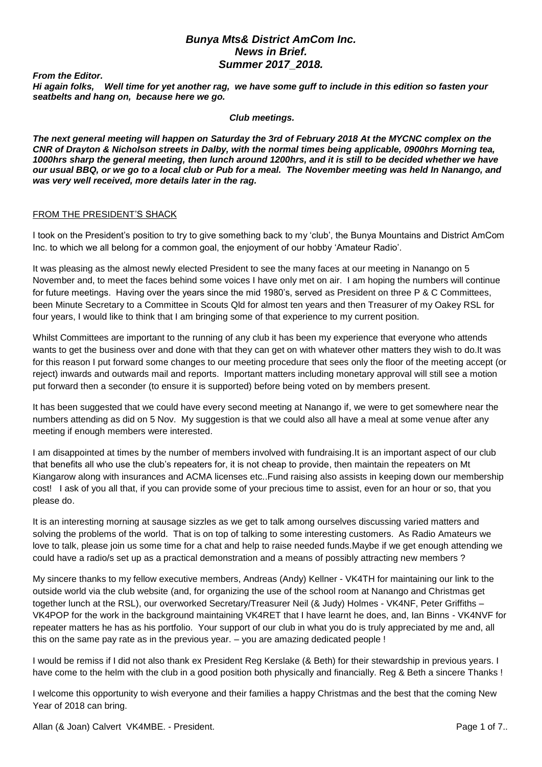## *Bunya Mts& District AmCom Inc. News in Brief. Summer 2017\_2018.*

*From the Editor.*

*Hi again folks, Well time for yet another rag, we have some guff to include in this edition so fasten your seatbelts and hang on, because here we go.* 

*Club meetings.*

*The next general meeting will happen on Saturday the 3rd of February 2018 At the MYCNC complex on the CNR of Drayton & Nicholson streets in Dalby, with the normal times being applicable, 0900hrs Morning tea, 1000hrs sharp the general meeting, then lunch around 1200hrs, and it is still to be decided whether we have our usual BBQ, or we go to a local club or Pub for a meal. The November meeting was held In Nanango, and was very well received, more details later in the rag.* 

#### FROM THE PRESIDENT'S SHACK

I took on the President's position to try to give something back to my 'club', the Bunya Mountains and District AmCom Inc. to which we all belong for a common goal, the enjoyment of our hobby 'Amateur Radio'.

It was pleasing as the almost newly elected President to see the many faces at our meeting in Nanango on 5 November and, to meet the faces behind some voices I have only met on air. I am hoping the numbers will continue for future meetings. Having over the years since the mid 1980's, served as President on three P & C Committees, been Minute Secretary to a Committee in Scouts Qld for almost ten years and then Treasurer of my Oakey RSL for four years, I would like to think that I am bringing some of that experience to my current position.

Whilst Committees are important to the running of any club it has been my experience that everyone who attends wants to get the business over and done with that they can get on with whatever other matters they wish to do.It was for this reason I put forward some changes to our meeting procedure that sees only the floor of the meeting accept (or reject) inwards and outwards mail and reports. Important matters including monetary approval will still see a motion put forward then a seconder (to ensure it is supported) before being voted on by members present.

It has been suggested that we could have every second meeting at Nanango if, we were to get somewhere near the numbers attending as did on 5 Nov. My suggestion is that we could also all have a meal at some venue after any meeting if enough members were interested.

I am disappointed at times by the number of members involved with fundraising.It is an important aspect of our club that benefits all who use the club's repeaters for, it is not cheap to provide, then maintain the repeaters on Mt Kiangarow along with insurances and ACMA licenses etc..Fund raising also assists in keeping down our membership cost! I ask of you all that, if you can provide some of your precious time to assist, even for an hour or so, that you please do.

It is an interesting morning at sausage sizzles as we get to talk among ourselves discussing varied matters and solving the problems of the world. That is on top of talking to some interesting customers. As Radio Amateurs we love to talk, please join us some time for a chat and help to raise needed funds.Maybe if we get enough attending we could have a radio/s set up as a practical demonstration and a means of possibly attracting new members ?

My sincere thanks to my fellow executive members, Andreas (Andy) Kellner - VK4TH for maintaining our link to the outside world via the club website (and, for organizing the use of the school room at Nanango and Christmas get together lunch at the RSL), our overworked Secretary/Treasurer Neil (& Judy) Holmes - VK4NF, Peter Griffiths – VK4POP for the work in the background maintaining VK4RET that I have learnt he does, and, Ian Binns - VK4NVF for repeater matters he has as his portfolio. Your support of our club in what you do is truly appreciated by me and, all this on the same pay rate as in the previous year. – you are amazing dedicated people !

I would be remiss if I did not also thank ex President Reg Kerslake (& Beth) for their stewardship in previous years. I have come to the helm with the club in a good position both physically and financially. Reg & Beth a sincere Thanks !

I welcome this opportunity to wish everyone and their families a happy Christmas and the best that the coming New Year of 2018 can bring.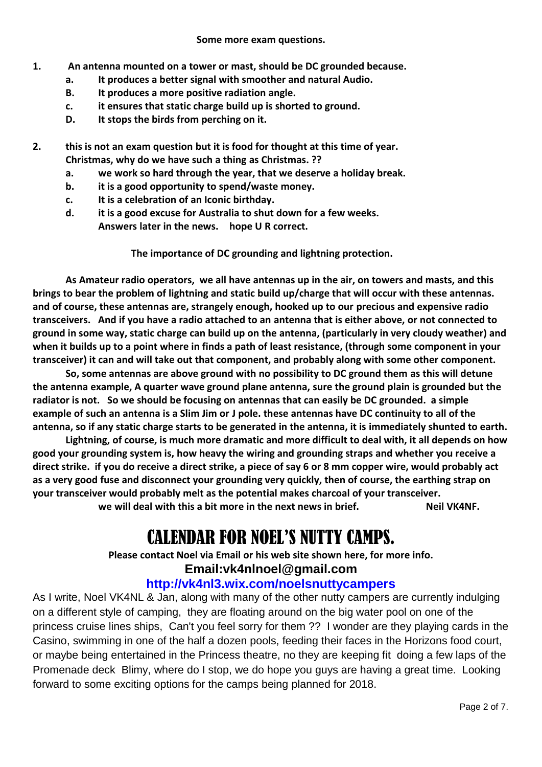- **1. An antenna mounted on a tower or mast, should be DC grounded because.**
	- **a. It produces a better signal with smoother and natural Audio.**
	- **B. It produces a more positive radiation angle.**
	- **c. it ensures that static charge build up is shorted to ground.**
	- **D. It stops the birds from perching on it.**

**2. this is not an exam question but it is food for thought at this time of year. Christmas, why do we have such a thing as Christmas. ??**

- **a. we work so hard through the year, that we deserve a holiday break.**
- **b. it is a good opportunity to spend/waste money.**
- **c. It is a celebration of an Iconic birthday.**
- **d. it is a good excuse for Australia to shut down for a few weeks. Answers later in the news. hope U R correct.**

**The importance of DC grounding and lightning protection.**

**As Amateur radio operators, we all have antennas up in the air, on towers and masts, and this brings to bear the problem of lightning and static build up/charge that will occur with these antennas. and of course, these antennas are, strangely enough, hooked up to our precious and expensive radio transceivers. And if you have a radio attached to an antenna that is either above, or not connected to ground in some way, static charge can build up on the antenna, (particularly in very cloudy weather) and when it builds up to a point where in finds a path of least resistance, (through some component in your transceiver) it can and will take out that component, and probably along with some other component.**

**So, some antennas are above ground with no possibility to DC ground them as this will detune the antenna example, A quarter wave ground plane antenna, sure the ground plain is grounded but the radiator is not. So we should be focusing on antennas that can easily be DC grounded. a simple example of such an antenna is a Slim Jim or J pole. these antennas have DC continuity to all of the antenna, so if any static charge starts to be generated in the antenna, it is immediately shunted to earth.**

**Lightning, of course, is much more dramatic and more difficult to deal with, it all depends on how good your grounding system is, how heavy the wiring and grounding straps and whether you receive a direct strike. if you do receive a direct strike, a piece of say 6 or 8 mm copper wire, would probably act as a very good fuse and disconnect your grounding very quickly, then of course, the earthing strap on your transceiver would probably melt as the potential makes charcoal of your transceiver.** we will deal with this a bit more in the next news in brief. **Neil VK4NF.** 

# CALENDAR FOR NOEL'S NUTTY CAMPS.

**Please contact Noel via Email or his web site shown here, for more info.**

# **Email:vk4nlnoel@gmail.com**

# **http://vk4nl3.wix.com/noelsnuttycampers**

As I write, Noel VK4NL & Jan, along with many of the other nutty campers are currently indulging on a different style of camping, they are floating around on the big water pool on one of the princess cruise lines ships, Can't you feel sorry for them ?? I wonder are they playing cards in the Casino, swimming in one of the half a dozen pools, feeding their faces in the Horizons food court, or maybe being entertained in the Princess theatre, no they are keeping fit doing a few laps of the Promenade deck Blimy, where do I stop, we do hope you guys are having a great time. Looking forward to some exciting options for the camps being planned for 2018.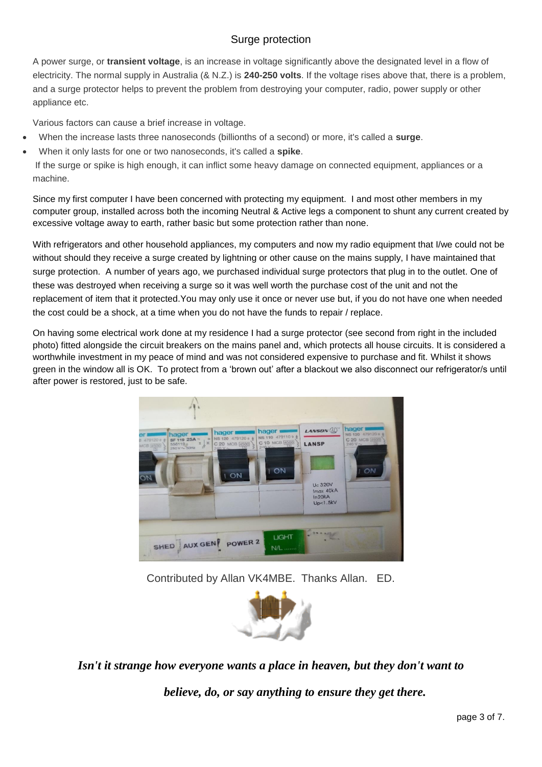# Surge protection

A power surge, or **transient voltage**, is an increase in voltage significantly above the designated level in a flow of electricity. The normal supply in Australia (& N.Z.) is **240-250 volts**. If the voltage rises above that, there is a problem, and a surge protector helps to prevent the problem from destroying your computer, radio, power supply or other appliance etc.

Various factors can cause a brief increase in voltage.

- When the increase lasts three nanoseconds (billionths of a second) or more, it's called a **surge**.
- When it only lasts for one or two nanoseconds, it's called a **spike**.

If the surge or spike is high enough, it can inflict some heavy damage on connected equipment, appliances or a machine.

Since my first computer I have been concerned with protecting my equipment. I and most other members in my computer group, installed across both the incoming Neutral & Active legs a component to shunt any current created by excessive voltage away to earth, rather basic but some protection rather than none.

With refrigerators and other household appliances, my computers and now my radio equipment that I/we could not be without should they receive a surge created by lightning or other cause on the mains supply, I have maintained that surge protection. A number of years ago, we purchased individual surge protectors that plug in to the outlet. One of these was destroyed when receiving a surge so it was well worth the purchase cost of the unit and not the replacement of item that it protected.You may only use it once or never use but, if you do not have one when needed the cost could be a shock, at a time when you do not have the funds to repair / replace.

On having some electrical work done at my residence I had a surge protector (see second from right in the included photo) fitted alongside the circuit breakers on the mains panel and, which protects all house circuits. It is considered a worthwhile investment in my peace of mind and was not considered expensive to purchase and fit. Whilst it shows green in the window all is OK. To protect from a 'brown out' after a blackout we also disconnect our refrigerator/s until after power is restored, just to be safe.



Contributed by Allan VK4MBE. Thanks Allan. ED.



*Isn't it strange how everyone wants a place in heaven, but they don't want to*

*believe, do, or say anything to ensure they get there.*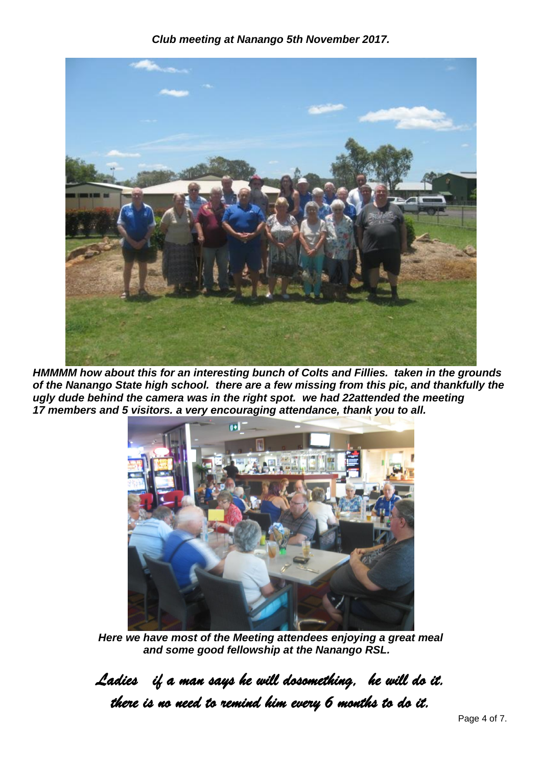*Club meeting at Nanango 5th November 2017.*



*HMMMM how about this for an interesting bunch of Colts and Fillies. taken in the grounds of the Nanango State high school. there are a few missing from this pic, and thankfully the ugly dude behind the camera was in the right spot. we had 22attended the meeting 17 members and 5 visitors. a very encouraging attendance, thank you to all.*



*Here we have most of the Meeting attendees enjoying a great meal and some good fellowship at the Nanango RSL.*

*Ladies if a man says he will dosomething, he will do it. there is no need to remind him every 6 months to do it.*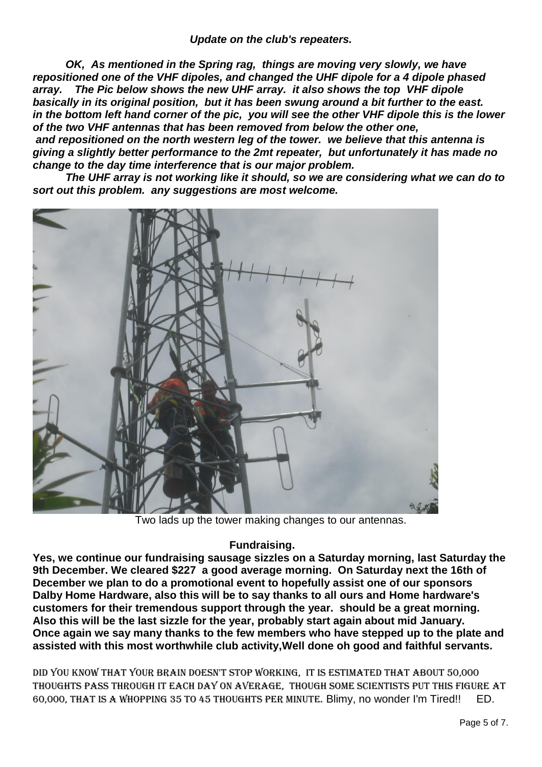*OK, As mentioned in the Spring rag, things are moving very slowly, we have repositioned one of the VHF dipoles, and changed the UHF dipole for a 4 dipole phased array. The Pic below shows the new UHF array. it also shows the top VHF dipole basically in its original position, but it has been swung around a bit further to the east. in the bottom left hand corner of the pic, you will see the other VHF dipole this is the lower of the two VHF antennas that has been removed from below the other one,*

*and repositioned on the north western leg of the tower. we believe that this antenna is giving a slightly better performance to the 2mt repeater, but unfortunately it has made no change to the day time interference that is our major problem.*

*The UHF array is not working like it should, so we are considering what we can do to sort out this problem. any suggestions are most welcome.*



Two lads up the tower making changes to our antennas.

# **Fundraising.**

**Yes, we continue our fundraising sausage sizzles on a Saturday morning, last Saturday the 9th December. We cleared \$227 a good average morning. On Saturday next the 16th of December we plan to do a promotional event to hopefully assist one of our sponsors Dalby Home Hardware, also this will be to say thanks to all ours and Home hardware's customers for their tremendous support through the year. should be a great morning. Also this will be the last sizzle for the year, probably start again about mid January. Once again we say many thanks to the few members who have stepped up to the plate and assisted with this most worthwhile club activity,Well done oh good and faithful servants.**

Did you know that your brain doesn't stop working, it is estimated that about 50,000 thoughts pass through it each day on average, though some scientists put this figure at 60,000, that is a whopping 35 to 45 thoughts per minute. Blimy, no wonder I'm Tired!! ED.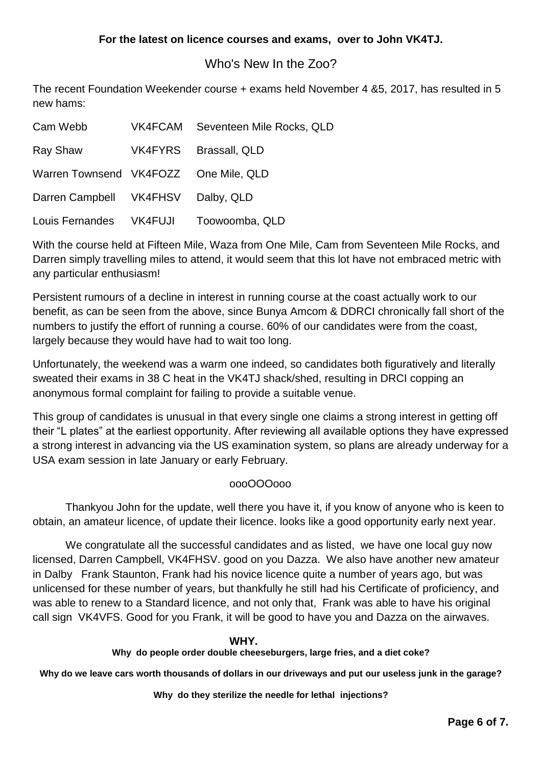# Who's New In the Zoo?

The recent Foundation Weekender course + exams held November 4 &5, 2017, has resulted in 5 new hams:

| Cam Webb                              | VK4FCAM Seventeen Mile Rocks, QLD |
|---------------------------------------|-----------------------------------|
| Ray Shaw                              | VK4FYRS Brassall, QLD             |
| Warren Townsend VK4FOZZ One Mile, QLD |                                   |
| Darren Campbell VK4FHSV Dalby, QLD    |                                   |
| Louis Fernandes VK4FUJI               | Toowoomba, QLD                    |

With the course held at Fifteen Mile, Waza from One Mile, Cam from Seventeen Mile Rocks, and Darren simply travelling miles to attend, it would seem that this lot have not embraced metric with any particular enthusiasm!

Persistent rumours of a decline in interest in running course at the coast actually work to our benefit, as can be seen from the above, since Bunya Amcom & DDRCI chronically fall short of the numbers to justify the effort of running a course. 60% of our candidates were from the coast, largely because they would have had to wait too long.

Unfortunately, the weekend was a warm one indeed, so candidates both figuratively and literally sweated their exams in 38 C heat in the VK4TJ shack/shed, resulting in DRCI copping an anonymous formal complaint for failing to provide a suitable venue.

This group of candidates is unusual in that every single one claims a strong interest in getting off their "L plates" at the earliest opportunity. After reviewing all available options they have expressed a strong interest in advancing via the US examination system, so plans are already underway for a USA exam session in late January or early February.

# oooOOOooo

Thankyou John for the update, well there you have it, if you know of anyone who is keen to obtain, an amateur licence, of update their licence. looks like a good opportunity early next year.

We congratulate all the successful candidates and as listed, we have one local guy now licensed, Darren Campbell, VK4FHSV. good on you Dazza. We also have another new amateur in Dalby Frank Staunton, Frank had his novice licence quite a number of years ago, but was unlicensed for these number of years, but thankfully he still had his Certificate of proficiency, and was able to renew to a Standard licence, and not only that, Frank was able to have his original call sign VK4VFS. Good for you Frank, it will be good to have you and Dazza on the airwaves.

#### **WHY.**

## **Why do people order double cheeseburgers, large fries, and a diet coke?**

**Why do we leave cars worth thousands of dollars in our driveways and put our useless junk in the garage?**

**Why do they sterilize the needle for lethal injections?**